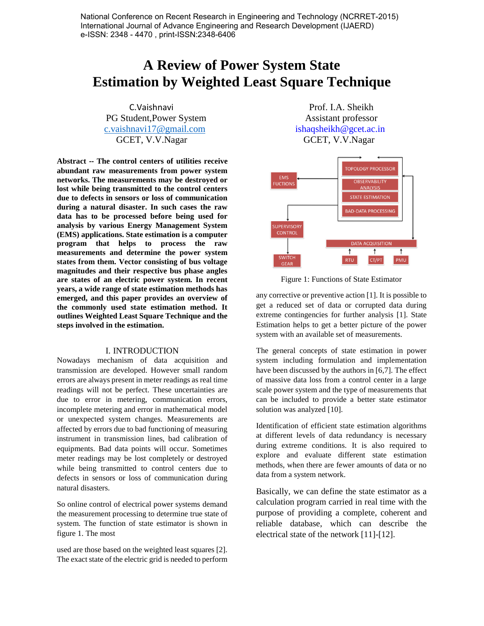National Conference on Recent Research in Engineering and Technology (NCRRET-2015) International Journal of Advance Engineering and Research Development (IJAERD) e-ISSN: 2348 - 4470 , print-ISSN:2348-6406

# **A Review of Power System State Estimation by Weighted Least Square Technique**

PG Student, Power System Assistant professor [c.vaishnavi17@gmail.com](mailto:c.vaishnavi17@gmail.com) ishaqsheikh@gcet.ac.in GCET, V.V.Nagar GCET, V.V.Nagar

**Abstract -- The control centers of utilities receive abundant raw measurements from power system networks. The measurements may be destroyed or lost while being transmitted to the control centers due to defects in sensors or loss of communication during a natural disaster. In such cases the raw data has to be processed before being used for analysis by various Energy Management System (EMS) applications. State estimation is a computer program that helps to process the raw measurements and determine the power system states from them. Vector consisting of bus voltage magnitudes and their respective bus phase angles are states of an electric power system. In recent years, a wide range of state estimation methods has emerged, and this paper provides an overview of the commonly used state estimation method. It outlines Weighted Least Square Technique and the steps involved in the estimation.**

### I. INTRODUCTION

Nowadays mechanism of data acquisition and transmission are developed. However small random errors are always present in meter readings as real time readings will not be perfect. These uncertainties are due to error in metering, communication errors, incomplete metering and error in mathematical model or unexpected system changes. Measurements are affected by errors due to bad functioning of measuring instrument in transmission lines, bad calibration of equipments. Bad data points will occur. Sometimes meter readings may be lost completely or destroyed while being transmitted to control centers due to defects in sensors or loss of communication during natural disasters.

So online control of electrical power systems demand the measurement processing to determine true state of system. The function of state estimator is shown in figure 1. The most

used are those based on the weighted least squares [2]. The exact state of the electric grid is needed to perform

C.Vaishnavi Prof. I.A. Sheikh



Figure 1: Functions of State Estimator

any corrective or preventive action [1]. It is possible to get a reduced set of data or corrupted data during extreme contingencies for further analysis [1]. State Estimation helps to get a better picture of the power system with an available set of measurements.

The general concepts of state estimation in power system including formulation and implementation have been discussed by the authors in [6,7]. The effect of massive data loss from a control center in a large scale power system and the type of measurements that can be included to provide a better state estimator solution was analyzed [10].

Identification of efficient state estimation algorithms at different levels of data redundancy is necessary during extreme conditions. It is also required to explore and evaluate different state estimation methods, when there are fewer amounts of data or no data from a system network.

Basically, we can define the state estimator as a calculation program carried in real time with the purpose of providing a complete, coherent and reliable database, which can describe the electrical state of the network [11]-[12].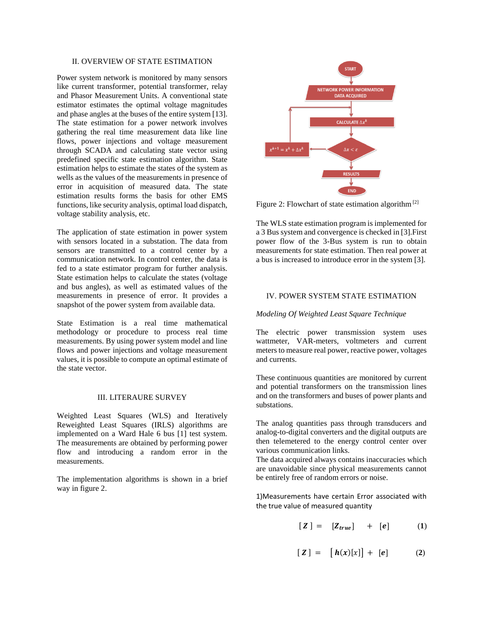# II. OVERVIEW OF STATE ESTIMATION

Power system network is monitored by many sensors like current transformer, potential transformer, relay and Phasor Measurement Units. A conventional state estimator estimates the optimal voltage magnitudes and phase angles at the buses of the entire system [13]. The state estimation for a power network involves gathering the real time measurement data like line flows, power injections and voltage measurement through SCADA and calculating state vector using predefined specific state estimation algorithm. State estimation helps to estimate the states of the system as wells as the values of the measurements in presence of error in acquisition of measured data. The state estimation results forms the basis for other EMS functions, like security analysis, optimal load dispatch, voltage stability analysis, etc.

The application of state estimation in power system with sensors located in a substation. The data from sensors are transmitted to a control center by a communication network. In control center, the data is fed to a state estimator program for further analysis. State estimation helps to calculate the states (voltage and bus angles), as well as estimated values of the measurements in presence of error. It provides a snapshot of the power system from available data.

State Estimation is a real time mathematical methodology or procedure to process real time measurements. By using power system model and line flows and power injections and voltage measurement values, it is possible to compute an optimal estimate of the state vector.

### III. LITERAURE SURVEY

Weighted Least Squares (WLS) and Iteratively Reweighted Least Squares (IRLS) algorithms are implemented on a Ward Hale 6 bus [1] test system. The measurements are obtained by performing power flow and introducing a random error in the measurements.

The implementation algorithms is shown in a brief way in figure 2.



Figure 2: Flowchart of state estimation algorithm<sup>[2]</sup>

The WLS state estimation program is implemented for a 3 Bus system and convergence is checked in [3].First power flow of the 3-Bus system is run to obtain measurements for state estimation. Then real power at a bus is increased to introduce error in the system [3].

# IV. POWER SYSTEM STATE ESTIMATION

*Modeling Of Weighted Least Square Technique*

The electric power transmission system uses wattmeter, VAR-meters, voltmeters and current meters to measure real power, reactive power, voltages and currents.

These continuous quantities are monitored by current and potential transformers on the transmission lines and on the transformers and buses of power plants and substations.

The analog quantities pass through transducers and analog-to-digital converters and the digital outputs are then telemetered to the energy control center over various communication links.

The data acquired always contains inaccuracies which are unavoidable since physical measurements cannot be entirely free of random errors or noise.

1)Measurements have certain Error associated with the true value of measured quantity

$$
[Z] = [Z_{true}] + [e] \qquad (1)
$$

$$
[\mathbf{Z}] = [\mathbf{h}(x)[x]] + [\mathbf{e}] \tag{2}
$$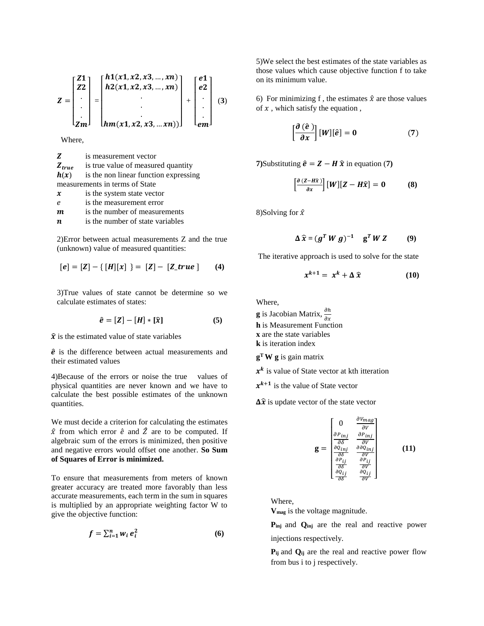$$
Z = \begin{bmatrix} Z1 \\ Z2 \\ \vdots \\ Zm \end{bmatrix} = \begin{bmatrix} h1(x1, x2, x3, ..., xn) \\ h2(x1, x2, x3, ..., xn) \\ \vdots \\ h2(x1, x2, x3, ..., xn) \end{bmatrix} + \begin{bmatrix} e1 \\ e2 \\ \vdots \\ em \end{bmatrix} \tag{3}
$$

Where,

| Z                              | is measurement vector                 |
|--------------------------------|---------------------------------------|
| $Z_{true}$                     | is true value of measured quantity    |
| h(x)                           | is the non linear function expressing |
| measurements in terms of State |                                       |
| $\boldsymbol{\mathcal{X}}$     | is the system state vector            |
| e                              | is the measurement error              |
| m                              | is the number of measurements         |

 $\boldsymbol{n}$  is the number of state variables

2)Error between actual measurements Z and the true (unknown) value of measured quantities:

$$
[e] = [Z] - \{ [H][x] \} = [Z] - [Z\_true] \tag{4}
$$

3)True values of state cannot be determine so we calculate estimates of states:

$$
\hat{e} = [Z] - [H] * [\hat{x}] \tag{5}
$$

 $\hat{x}$  is the estimated value of state variables

 $\hat{e}$  is the difference between actual measurements and their estimated values

4)Because of the errors or noise the true values of physical quantities are never known and we have to calculate the best possible estimates of the unknown quantities.

We must decide a criterion for calculating the estimates  $\hat{x}$  from which error  $\hat{e}$  and  $\hat{Z}$  are to be computed. If algebraic sum of the errors is minimized, then positive and negative errors would offset one another. **So Sum of Squares of Error is minimized.**

To ensure that measurements from meters of known greater accuracy are treated more favorably than less accurate measurements, each term in the sum in squares is multiplied by an appropriate weighting factor W to give the objective function:

$$
f = \sum_{i=1}^{n} w_i e_i^2 \tag{6}
$$

5)We select the best estimates of the state variables as those values which cause objective function f to take on its minimum value.

6) For minimizing f, the estimates  $\hat{x}$  are those values of  $x$ , which satisfy the equation,

$$
\left[\frac{\partial\left(\hat{e}\,\right)}{\partial x}\right][W][\hat{e}] = 0 \tag{7}
$$

**7**)Substituting  $\hat{\mathbf{e}} = \mathbf{Z} - \mathbf{H} \hat{\mathbf{x}}$  in equation (7)

$$
\left[\frac{\partial (Z - H\hat{x})}{\partial x}\right][W][Z - H\hat{x}] = 0 \tag{8}
$$

8)Solving for  $\hat{x}$ 

$$
\Delta \widehat{x} = (g^T W g)^{-1} \quad g^T W Z \qquad (9)
$$

The iterative approach is used to solve for the state

$$
x^{k+1} = x^k + \Delta \widehat{x} \tag{10}
$$

Where,

**g** is Jacobian Matrix,  $\frac{\partial h}{\partial x}$ **h** is Measurement Function **x** are the state variables **k** is iteration index

**g <sup>T</sup>W g** is gain matrix

 $x^k$  is value of State vector at kth itteration

 $x^{k+1}$  is the value of State vector

 $\Delta \hat{x}$  is update vector of the state vector

$$
\mathbf{g} = \begin{bmatrix}\n0 & \frac{\partial V_{mag}}{\partial V} \\
\frac{\partial P_{inj}}{\partial \delta} & \frac{\partial P_{inj}}{\partial V} \\
\frac{\partial Q_{inj}}{\partial \delta} & \frac{\partial \partial Q_{inj}}{\partial V} \\
\frac{\partial P_{ij}}{\partial \delta} & \frac{\partial P_{ij}}{\partial V} \\
\frac{\partial Q_{ij}}{\partial \delta} & \frac{\partial Q_{ij}}{\partial V}\n\end{bmatrix}
$$
\n(11)

Where,

**Vmag** is the voltage magnitude.

**Pinj** and **Qinj** are the real and reactive power injections respectively.

**Pij** and **Qij** are the real and reactive power flow from bus i to j respectively.